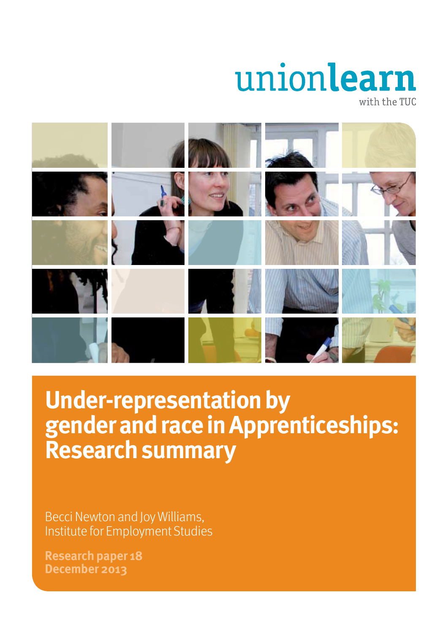# unionlearn with the TUC



# **Under-representation by gender and race in Apprenticeships: Research summary**

Becci Newton and Joy Williams, Institute for Employment Studies

**Research paper 18 December 2013**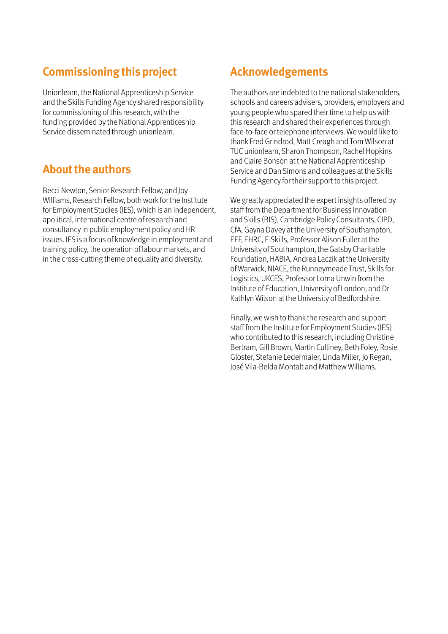### **Commissioning this project**

Unionlearn, the National Apprenticeship Service and the Skills Funding Agency shared responsibility for commissioning of this research, with the funding provided by the National Apprenticeship Service disseminated through unionlearn.

### **About the authors**

Becci Newton, Senior Research Fellow, and Joy Williams, Research Fellow, both work for the Institute for Employment Studies (IES), which is an independent, apolitical, international centre of research and consultancy in public employment policy and HR issues. IES is a focus of knowledge in employment and training policy, the operation of labour markets, and in the cross-cutting theme of equality and diversity.

### **Acknowledgements**

The authors are indebted to the national stakeholders, schools and careers advisers, providers, employers and young people who spared their time to help us with this research and shared their experiences through face-to-face or telephone interviews. We would like to thank Fred Grindrod, Matt Creagh and Tom Wilson at TUC unionlearn, Sharon Thompson, Rachel Hopkins and Claire Bonson at the National Apprenticeship Service and Dan Simons and colleagues at the Skills Funding Agency for their support to this project.

We greatly appreciated the expert insights offered by staff from the Department for Business Innovation and Skills (BIS), Cambridge Policy Consultants, CIPD, CfA, Gayna Davey at the University of Southampton, EEF, EHRC, E-Skills, Professor Alison Fuller at the University of Southampton, the Gatsby Charitable Foundation, HABIA, Andrea Laczik at the University of Warwick, NIACE, the Runneymeade Trust, Skills for Logistics, UKCES, Professor Lorna Unwin from the Institute of Education, University of London, and Dr Kathlyn Wilson at the University of Bedfordshire.

Finally, we wish to thank the research and support staff from the Institute for Employment Studies (IES) who contributed to this research, including Christine Bertram, Gill Brown, Martin Culliney, Beth Foley, Rosie Gloster, Stefanie Ledermaier, Linda Miller, Jo Regan, José Vila-Belda Montalt and Matthew Williams.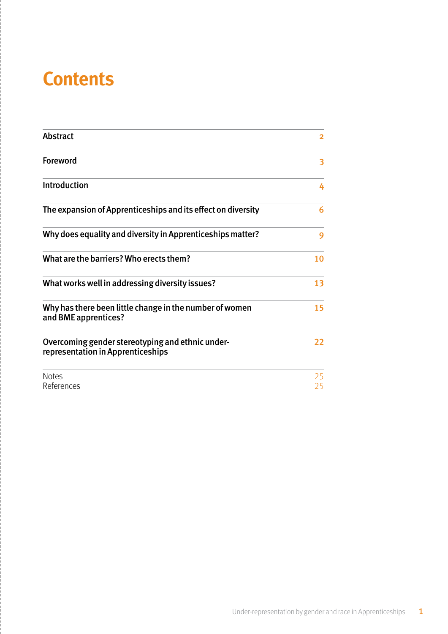## **Contents**

| <b>Abstract</b>                                                                       | $\overline{2}$ |
|---------------------------------------------------------------------------------------|----------------|
| Foreword                                                                              | 3              |
| <b>Introduction</b>                                                                   | 4              |
| The expansion of Apprenticeships and its effect on diversity                          | 6              |
| Why does equality and diversity in Apprenticeships matter?                            | 9              |
| What are the barriers? Who erects them?                                               | 10             |
| What works well in addressing diversity issues?                                       | 13             |
| Why has there been little change in the number of women<br>and BME apprentices?       | 15             |
| Overcoming gender stereotyping and ethnic under-<br>representation in Apprenticeships | 22             |
| <b>Notes</b><br>References                                                            | 25<br>25       |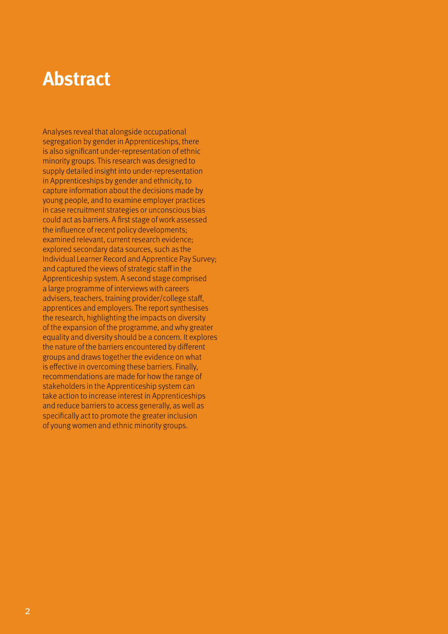## **Abstract**

Analyses reveal that alongside occupational segregation by gender in Apprenticeships, there is also significant under-representation of ethnic minority groups. This research was designed to supply detailed insight into under-representation in Apprenticeships by gender and ethnicity, to capture information about the decisions made by young people, and to examine employer practices in case recruitment strategies or unconscious bias could act as barriers. A first stage of work assessed the influence of recent policy developments; examined relevant, current research evidence; explored secondary data sources, such as the Individual Learner Record and Apprentice Pay Survey; and captured the views of strategic staff in the Apprenticeship system. A second stage comprised a large programme of interviews with careers advisers, teachers, training provider/college staff, apprentices and employers. The report synthesises the research, highlighting the impacts on diversity of the expansion of the programme, and why greater equality and diversity should be a concern. It explores the nature of the barriers encountered by different groups and draws together the evidence on what is effective in overcoming these barriers. Finally, recommendations are made for how the range of stakeholders in the Apprenticeship system can take action to increase interest in Apprenticeships and reduce barriers to access generally, as well as specifically act to promote the greater inclusion of young women and ethnic minority groups.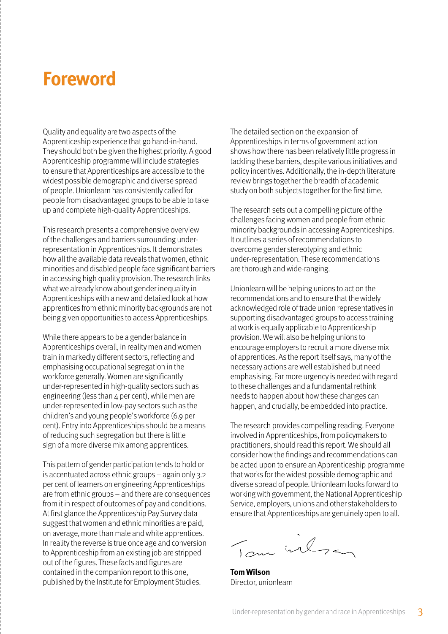## **Foreword**

Quality and equality are two aspects of the Apprenticeship experience that go hand-in-hand. They should both be given the highest priority. A good Apprenticeship programme will include strategies to ensure that Apprenticeships are accessible to the widest possible demographic and diverse spread of people. Unionlearn has consistently called for people from disadvantaged groups to be able to take up and complete high-quality Apprenticeships.

This research presents a comprehensive overview of the challenges and barriers surrounding underrepresentation in Apprenticeships. It demonstrates how all the available data reveals that women, ethnic minorities and disabled people face significant barriers in accessing high quality provision. The research links what we already know about gender inequality in Apprenticeships with a new and detailed look at how apprentices from ethnic minority backgrounds are not being given opportunities to access Apprenticeships.

While there appears to be a gender balance in Apprenticeships overall, in reality men and women train in markedly different sectors, reflecting and emphasising occupational segregation in the workforce generally. Women are significantly under-represented in high-quality sectors such as engineering (less than 4 per cent), while men are under-represented in low-pay sectors such as the children's and young people's workforce (6.9 per cent). Entry into Apprenticeships should be a means of reducing such segregation but there is little sign of a more diverse mix among apprentices.

This pattern of gender participation tends to hold or is accentuated across ethnic groups – again only 3.2 per cent of learners on engineering Apprenticeships are from ethnic groups – and there are consequences from it in respect of outcomes of pay and conditions. At first glance the Apprenticeship Pay Survey data suggest that women and ethnic minorities are paid, on average, more than male and white apprentices. In reality the reverse is true once age and conversion to Apprenticeship from an existing job are stripped out of the figures. These facts and figures are contained in the companion report to this one, published by the Institute for Employment Studies.

The detailed section on the expansion of Apprenticeships in terms of government action shows how there has been relatively little progress in tackling these barriers, despite various initiatives and policy incentives. Additionally, the in-depth literature review brings together the breadth of academic study on both subjects together for the first time.

The research sets out a compelling picture of the challenges facing women and people from ethnic minority backgrounds in accessing Apprenticeships. It outlines a series of recommendations to overcome gender stereotyping and ethnic under-representation. These recommendations are thorough and wide-ranging.

Unionlearn will be helping unions to act on the recommendations and to ensure that the widely acknowledged role of trade union representatives in supporting disadvantaged groups to access training at work is equally applicable to Apprenticeship provision. We will also be helping unions to encourage employers to recruit a more diverse mix of apprentices. As the report itself says, many of the necessary actions are well established but need emphasising. Far more urgency is needed with regard to these challenges and a fundamental rethink needs to happen about how these changes can happen, and crucially, be embedded into practice.

The research provides compelling reading. Everyone involved in Apprenticeships, from policymakers to practitioners, should read this report. We should all consider how the findings and recommendations can be acted upon to ensure an Apprenticeship programme that works for the widest possible demographic and diverse spread of people. Unionlearn looks forward to working with government, the National Apprenticeship Service, employers, unions and other stakeholders to ensure that Apprenticeships are genuinely open to all.

Tom wilson

**Tom Wilson** Director, unionlearn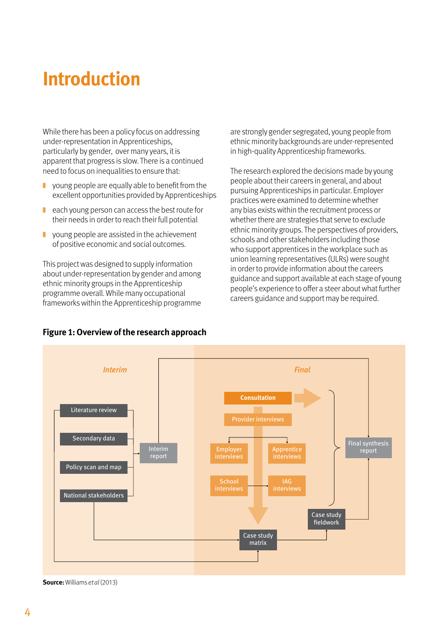## **Introduction**

While there has been a policy focus on addressing under-representation in Apprenticeships, particularly by gender, over many years, it is apparent that progress is slow. There is a continued need to focus on inequalities to ensure that:

- $\blacksquare$  young people are equally able to benefit from the excellent opportunities provided by Apprenticeships
- each young person can access the best route for their needs in order to reach their full potential
- $\blacksquare$  young people are assisted in the achievement of positive economic and social outcomes.

This project was designed to supply information about under-representation by gender and among ethnic minority groups in the Apprenticeship programme overall. While many occupational frameworks within the Apprenticeship programme

are strongly gender segregated, young people from ethnic minority backgrounds are under-represented in high-quality Apprenticeship frameworks.

The research explored the decisions made by young people about their careers in general, and about pursuing Apprenticeships in particular. Employer practices were examined to determine whether any bias exists within the recruitment process or whether there are strategies that serve to exclude ethnic minority groups. The perspectives of providers, schools and other stakeholders including those who support apprentices in the workplace such as union learning representatives (ULRs) were sought in order to provide information about the careers guidance and support available at each stage of young people's experience to offer a steer about what further careers guidance and support may be required.



#### **Figure 1: Overview of the research approach**

**Source:** Williams et al (2013)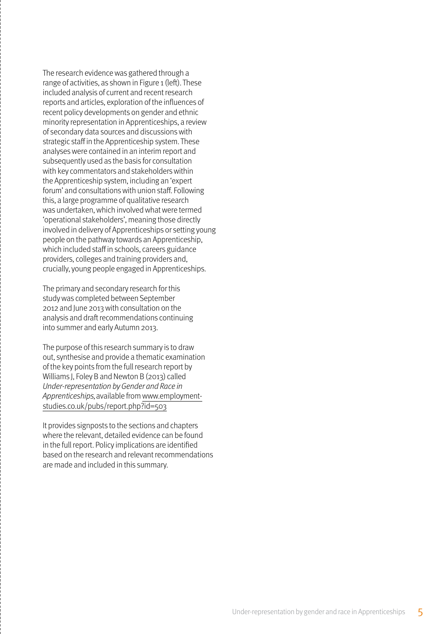The research evidence was gathered through a range of activities, as shown in Figure 1 (left). These included analysis of current and recent research reports and articles, exploration of the influences of recent policy developments on gender and ethnic minority representation in Apprenticeships, a review of secondary data sources and discussions with strategic staff in the Apprenticeship system. These analyses were contained in an interim report and subsequently used as the basis for consultation with key commentators and stakeholders within the Apprenticeship system, including an 'expert forum' and consultations with union staff. Following this, a large programme of qualitative research was undertaken, which involved what were termed 'operational stakeholders', meaning those directly involved in delivery of Apprenticeships or setting young people on the pathway towards an Apprenticeship, which included staff in schools, careers guidance providers, colleges and training providers and, crucially, young people engaged in Apprenticeships.

The primary and secondary research for this study was completed between September 2012 and June 2013 with consultation on the analysis and draft recommendations continuing into summer and early Autumn 2013.

The purpose of this research summary is to draw out, synthesise and provide a thematic examination of the key points from the full research report by Williams J, Foley B and Newton B (2013) called Under-representation by Gender and Race in Apprenticeships, available from www.employmentstudies.co.uk/pubs/report.php?id=503

It provides signposts to the sections and chapters where the relevant, detailed evidence can be found in the full report. Policy implications are identified based on the research and relevant recommendations are made and included in this summary.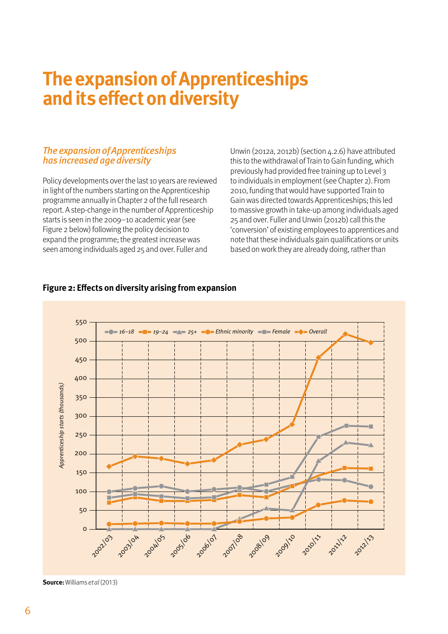## **The expansion of Apprenticeships and its effect on diversity**

#### The expansion of Apprenticeships has increased age diversity

Policy developments over the last 10 years are reviewed in light of the numbers starting on the Apprenticeship programme annually in Chapter 2 of the full research report. A step-change in the number of Apprenticeship starts is seen in the 2009–10 academic year (see Figure 2 below) following the policy decision to expand the programme; the greatest increase was seen among individuals aged 25 and over. Fuller and

Unwin (2012a, 2012b) (section 4.2.6) have attributed this to the withdrawal of Train to Gain funding, which previously had provided free training up to Level 3 to individuals in employment (see Chapter 2). From 2010, funding that would have supported Train to Gain was directed towards Apprenticeships; this led to massive growth in take-up among individuals aged 25 and over. Fuller and Unwin (2012b) call this the 'conversion' of existing employees to apprentices and note that these individuals gain qualifications or units based on work they are already doing, rather than



#### **Figure 2: Effects on diversity arising from expansion**

**Source:** Williams et al (2013)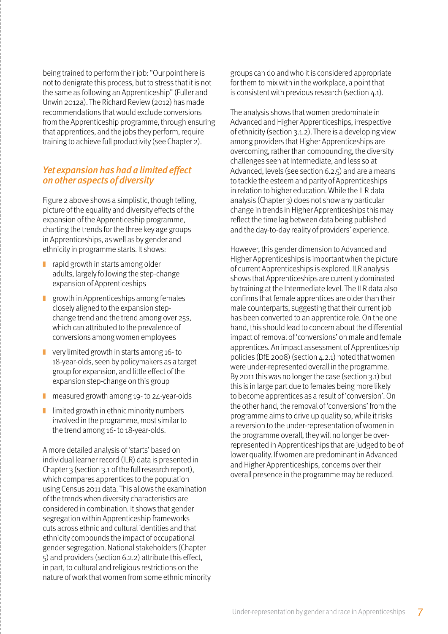being trained to perform their job: "Our point here is not to denigrate this process, but to stress that it is not the same as following an Apprenticeship" (Fuller and Unwin 2012a). The Richard Review (2012) has made recommendations that would exclude conversions from the Apprenticeship programme, through ensuring that apprentices, and the jobs they perform, require training to achieve full productivity (see Chapter 2).

#### Yet expansion has had a limited effect on other aspects of diversity

Figure 2 above shows a simplistic, though telling, picture of the equality and diversity effects of the expansion of the Apprenticeship programme, charting the trends for the three key age groups in Apprenticeships, as well as by gender and ethnicity in programme starts. It shows:

- $\Box$  rapid growth in starts among older adults, largely following the step-change expansion of Apprenticeships
- ❚ growth in Apprenticeships among females closely aligned to the expansion stepchange trend and the trend among over 25s, which can attributed to the prevalence of conversions among women employees
- $\blacksquare$  very limited growth in starts among 16- to 18-year-olds, seen by policymakers as a target group for expansion, and little effect of the expansion step-change on this group
- measured growth among 19- to 24-year-olds
- $\blacksquare$  limited growth in ethnic minority numbers involved in the programme, most similar to the trend among 16- to 18-year-olds.

A more detailed analysis of 'starts' based on individual learner record (ILR) data is presented in Chapter 3 (section 3.1 of the full research report), which compares apprentices to the population using Census 2011 data. This allows the examination of the trends when diversity characteristics are considered in combination. It shows that gender segregation within Apprenticeship frameworks cuts across ethnic and cultural identities and that ethnicity compounds the impact of occupational gender segregation. National stakeholders (Chapter 5) and providers (section 6.2.2) attribute this effect, in part, to cultural and religious restrictions on the nature of work that women from some ethnic minority

groups can do and who it is considered appropriate for them to mix with in the workplace, a point that is consistent with previous research (section  $4.1$ ).

The analysis shows that women predominate in Advanced and Higher Apprenticeships, irrespective of ethnicity (section 3.1.2). There is a developing view among providers that Higher Apprenticeships are overcoming, rather than compounding, the diversity challenges seen at Intermediate, and less so at Advanced, levels (see section 6.2.5) and are a means to tackle the esteem and parity of Apprenticeships in relation to higher education. While the ILR data analysis (Chapter 3) does not show any particular change in trends in Higher Apprenticeships this may reflect the time lag between data being published and the day-to-day reality of providers' experience.

However, this gender dimension to Advanced and Higher Apprenticeships is important when the picture of current Apprenticeships is explored. ILR analysis shows that Apprenticeships are currently dominated by training at the Intermediate level. The ILR data also confirms that female apprentices are older than their male counterparts, suggesting that their current job has been converted to an apprentice role. On the one hand, this should lead to concern about the differential impact of removal of 'conversions' on male and female apprentices. An impact assessment of Apprenticeship policies (DfE 2008) (section 4.2.1) noted that women were under-represented overall in the programme. By 2011 this was no longer the case (section 3.1) but this is in large part due to females being more likely to become apprentices as a result of 'conversion'. On the other hand, the removal of 'conversions' from the programme aims to drive up quality so, while it risks a reversion to the under-representation of women in the programme overall, they will no longer be overrepresented in Apprenticeships that are judged to be of lower quality. If women are predominant in Advanced and Higher Apprenticeships, concerns over their overall presence in the programme may be reduced.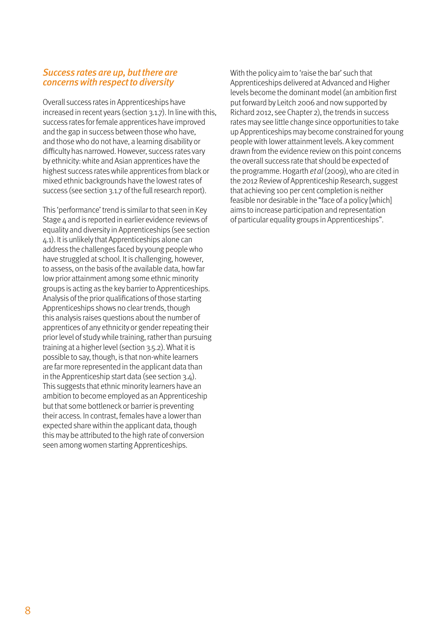#### Success rates are up, but there are concerns with respect to diversity

Overall success rates in Apprenticeships have increased in recent years (section 3.1.7). In line with this, success rates for female apprentices have improved and the gap in success between those who have, and those who do not have, a learning disability or difficulty has narrowed. However, success rates vary by ethnicity: white and Asian apprentices have the highest success rates while apprentices from black or mixed ethnic backgrounds have the lowest rates of success (see section 3.1.7 of the full research report).

This 'performance' trend is similar to that seen in Key Stage  $\Delta$  and is reported in earlier evidence reviews of equality and diversity in Apprenticeships (see section 4.1). It is unlikely that Apprenticeships alone can address the challenges faced by young people who have struggled at school. It is challenging, however, to assess, on the basis of the available data, how far low prior attainment among some ethnic minority groups is acting as the key barrier to Apprenticeships. Analysis of the prior qualifications of those starting Apprenticeships shows no clear trends, though this analysis raises questions about the number of apprentices of any ethnicity or gender repeating their prior level of study while training, rather than pursuing training at a higher level (section 3.5.2). What it is possible to say, though, is that non-white learners are far more represented in the applicant data than in the Apprenticeship start data (see section 3.4). This suggests that ethnic minority learners have an ambition to become employed as an Apprenticeship but that some bottleneck or barrier is preventing their access. In contrast, females have a lower than expected share within the applicant data, though this may be attributed to the high rate of conversion seen among women starting Apprenticeships.

With the policy aim to 'raise the bar' such that Apprenticeships delivered at Advanced and Higher levels become the dominant model (an ambition first put forward by Leitch 2006 and now supported by Richard 2012, see Chapter 2), the trends in success rates may see little change since opportunities to take up Apprenticeships may become constrained for young people with lower attainment levels. A key comment drawn from the evidence review on this point concerns the overall success rate that should be expected of the programme. Hogarth et al (2009), who are cited in the 2012 Review of Apprenticeship Research, suggest that achieving 100 per cent completion is neither feasible nor desirable in the "face of a policy [which] aims to increase participation and representation of particular equality groups in Apprenticeships".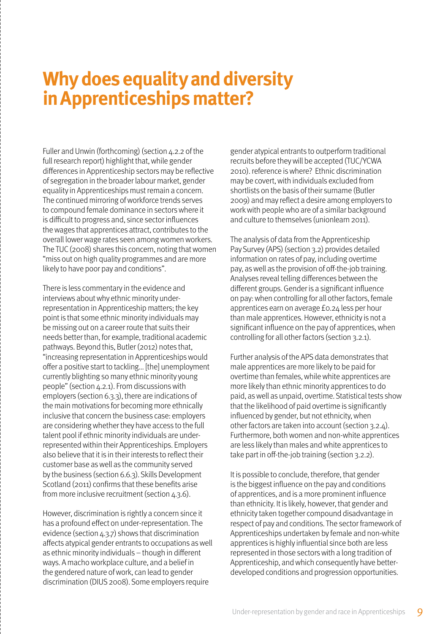## **Why does equality and diversity in Apprenticeships matter?**

Fuller and Unwin (forthcoming) (section 4.2.2 of the full research report) highlight that, while gender differences in Apprenticeship sectors may be reflective of segregation in the broader labour market, gender equality in Apprenticeships must remain a concern. The continued mirroring of workforce trends serves to compound female dominance in sectors where it is difficult to progress and, since sector influences the wages that apprentices attract, contributes to the overall lower wage rates seen among women workers. The TUC (2008) shares this concern, noting that women "miss out on high quality programmes and are more likely to have poor pay and conditions".

There is less commentary in the evidence and interviews about why ethnic minority underrepresentation in Apprenticeship matters; the key point is that some ethnic minority individuals may be missing out on a career route that suits their needs better than, for example, traditional academic pathways. Beyond this, Butler (2012) notes that, "increasing representation in Apprenticeships would offer a positive start to tackling... [the] unemployment currently blighting so many ethnic minority young people" (section  $\Delta$ , 2.1). From discussions with employers (section 6.3.3), there are indications of the main motivations for becoming more ethnically inclusive that concern the business case: employers are considering whether they have access to the full talent pool if ethnic minority individuals are underrepresented within their Apprenticeships. Employers also believe that it is in their interests to reflect their customer base as well as the community served by the business (section 6.6.3). Skills Development Scotland (2011) confirms that these benefits arise from more inclusive recruitment (section 4.3.6).

However, discrimination is rightly a concern since it has a profound effect on under-representation. The evidence (section 4.3.7) shows that discrimination affects atypical gender entrants to occupations as well as ethnic minority individuals – though in different ways. A macho workplace culture, and a belief in the gendered nature of work, can lead to gender discrimination (DIUS 2008). Some employers require

gender atypical entrants to outperform traditional recruits before they will be accepted (TUC/YCWA 2010). reference is where? Ethnic discrimination may be covert, with individuals excluded from shortlists on the basis of their surname (Butler 2009) and may reflect a desire among employers to work with people who are of a similar background and culture to themselves (unionlearn 2011).

The analysis of data from the Apprenticeship Pay Survey (APS) (section 3.2) provides detailed information on rates of pay, including overtime pay, as well as the provision of off-the-job training. Analyses reveal telling differences between the different groups. Gender is a significant influence on pay: when controlling for all other factors, female apprentices earn on average £0.24 less per hour than male apprentices. However, ethnicity is not a significant influence on the pay of apprentices, when controlling for all other factors (section 3.2.1).

Further analysis of the APS data demonstrates that male apprentices are more likely to be paid for overtime than females, while white apprentices are more likely than ethnic minority apprentices to do paid, as well as unpaid, overtime. Statistical tests show that the likelihood of paid overtime is significantly influenced by gender, but not ethnicity, when other factors are taken into account (section 3.2.4). Furthermore, both women and non-white apprentices are less likely than males and white apprentices to take part in off-the-job training (section 3.2.2).

It is possible to conclude, therefore, that gender is the biggest influence on the pay and conditions of apprentices, and is a more prominent influence than ethnicity. It is likely, however, that gender and ethnicity taken together compound disadvantage in respect of pay and conditions. The sector framework of Apprenticeships undertaken by female and non-white apprentices is highly influential since both are less represented in those sectors with a long tradition of Apprenticeship, and which consequently have betterdeveloped conditions and progression opportunities.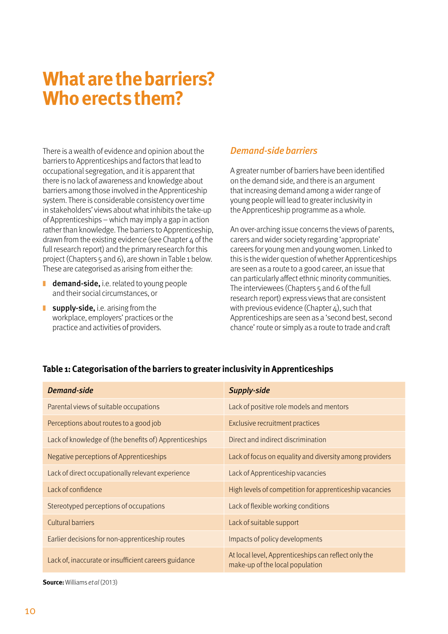## **What are the barriers? Who erects them?**

There is a wealth of evidence and opinion about the barriers to Apprenticeships and factors that lead to occupational segregation, and it is apparent that there is no lack of awareness and knowledge about barriers among those involved in the Apprenticeship system. There is considerable consistency over time in stakeholders' views about what inhibits the take-up of Apprenticeships – which may imply a gap in action rather than knowledge. The barriers to Apprenticeship, drawn from the existing evidence (see Chapter  $\mu$  of the full research report) and the primary research for this project (Chapters 5 and 6), are shown in Table 1 below. These are categorised as arising from either the:

- demand-side, i.e. related to young people and their social circumstances, or
- $\blacksquare$  supply-side, i.e. arising from the workplace, employers' practices or the practice and activities of providers.

#### Demand-side barriers

A greater number of barriers have been identified on the demand side, and there is an argument that increasing demand among a wider range of young people will lead to greater inclusivity in the Apprenticeship programme as a whole.

An over-arching issue concerns the views of parents, carers and wider society regarding 'appropriate' careers for young men and young women. Linked to this is the wider question of whether Apprenticeships are seen as a route to a good career, an issue that can particularly affect ethnic minority communities. The interviewees (Chapters 5 and 6 of the full research report) express views that are consistent with previous evidence (Chapter  $\varphi$ ), such that Apprenticeships are seen as a 'second best, second chance' route or simply as a route to trade and craft

#### **Table 1: Categorisation of the barriers to greater inclusivity in Apprenticeships**

| Demand-side                                            | <b>Supply-side</b>                                                                      |
|--------------------------------------------------------|-----------------------------------------------------------------------------------------|
| Parental views of suitable occupations                 | Lack of positive role models and mentors                                                |
| Perceptions about routes to a good job                 | Exclusive recruitment practices                                                         |
| Lack of knowledge of (the benefits of) Apprenticeships | Direct and indirect discrimination                                                      |
| Negative perceptions of Apprenticeships                | Lack of focus on equality and diversity among providers                                 |
| Lack of direct occupationally relevant experience      | Lack of Apprenticeship vacancies                                                        |
| Lack of confidence                                     | High levels of competition for apprenticeship vacancies                                 |
| Stereotyped perceptions of occupations                 | Lack of flexible working conditions                                                     |
| <b>Cultural barriers</b>                               | Lack of suitable support                                                                |
| Earlier decisions for non-apprenticeship routes        | Impacts of policy developments                                                          |
| Lack of, inaccurate or insufficient careers guidance   | At local level, Apprenticeships can reflect only the<br>make-up of the local population |

**Source:** Williams et al (2013)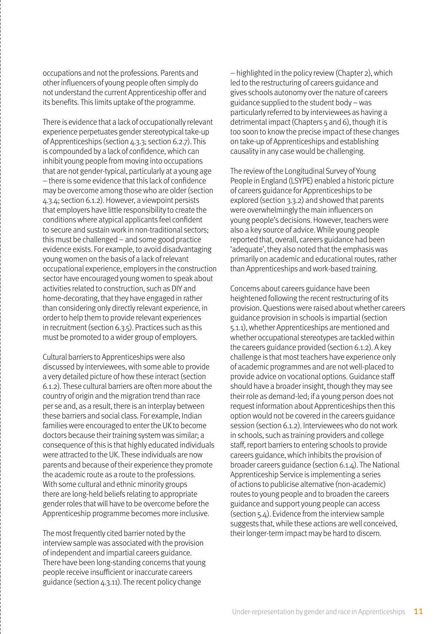occupations and not the professions. Parents and other influencers of young people often simply do not understand the current Apprenticeship offer and its benefits. This limits uptake of the programme.

There is evidence that a lack of occupationally relevant experience perpetuates gender stereotypical take-up of Apprenticeships (section 4.3.3; section 6.2.7). This is compounded by a lack of confidence, which can inhibit young people from moving into occupations that are not gender-typical, particularly at a young age – there is some evidence that this lack of confidence may be overcome among those who are older (section 4.3.4; section 6.1.2). However, a viewpoint persists that employers have little responsibility to create the conditions where atypical applicants feel confident to secure and sustain work in non-traditional sectors; this must be challenged – and some good practice evidence exists. For example, to avoid disadvantaging young women on the basis of a lack of relevant occupational experience, employers in the construction sector have encouraged young women to speak about activities related to construction, such as DIY and home-decorating, that they have engaged in rather than considering only directly relevant experience, in order to help them to provide relevant experiences in recruitment (section 6.3.5). Practices such as this must be promoted to a wider group of employers.

Cultural barriers to Apprenticeships were also discussed by interviewees, with some able to provide a very detailed picture of how these interact (section 6.1.2). These cultural barriers are often more about the country of origin and the migration trend than race per se and, as a result, there is an interplay between these barriers and social class. For example, Indian families were encouraged to enter the UK to become doctors because their training system was similar; a consequence of this is that highly educated individuals were attracted to the UK. These individuals are now parents and because of their experience they promote the academic route as a route to the professions. With some cultural and ethnic minority groups there are long-held beliefs relating to appropriate gender roles that will have to be overcome before the Apprenticeship programme becomes more inclusive.

The most frequently cited barrier noted by the interview sample was associated with the provision of independent and impartial careers guidance. There have been long-standing concerns that young people receive insufficient or inaccurate careers guidance (section 4.3.11). The recent policy change

– highlighted in the policy review (Chapter 2), which led to the restructuring of careers guidance and gives schools autonomy over the nature of careers guidance supplied to the student body – was particularly referred to by interviewees as having a detrimental impact (Chapters 5 and 6), though it is too soon to know the precise impact of these changes on take-up of Apprenticeships and establishing causality in any case would be challenging.

The review of the Longitudinal Survey of Young People in England (LSYPE) enabled a historic picture of careers guidance for Apprenticeships to be explored (section 3.3.2) and showed that parents were overwhelmingly the main influencers on young people's decisions. However, teachers were also a key source of advice. While young people reported that, overall, careers guidance had been 'adequate', they also noted that the emphasis was primarily on academic and educational routes, rather than Apprenticeships and work-based training.

Concerns about careers guidance have been heightened following the recent restructuring of its provision. Questions were raised about whether careers guidance provision in schools is impartial (section 5.1.1), whether Apprenticeships are mentioned and whether occupational stereotypes are tackled within the careers guidance provided (section 6.1.2). A key challenge is that most teachers have experience only of academic programmes and are not well-placed to provide advice on vocational options. Guidance staff should have a broader insight, though they may see their role as demand-led; if a young person does not request information about Apprenticeships then this option would not be covered in the careers guidance session (section 6.1.2). Interviewees who do not work in schools, such as training providers and college staff, report barriers to entering schools to provide careers guidance, which inhibits the provision of broader careers guidance (section 6.1.4). The National Apprenticeship Service is implementing a series of actions to publicise alternative (non-academic) routes to young people and to broaden the careers guidance and support young people can access (section 5.4). Evidence from the interview sample suggests that, while these actions are well conceived, their longer-term impact may be hard to discern.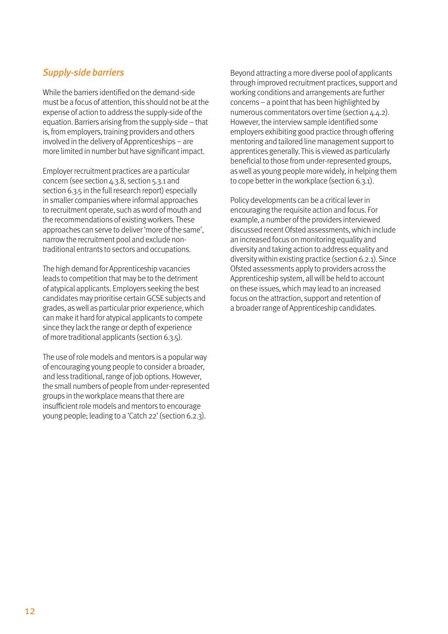#### Supply-side barriers

While the barriers identified on the demand-side must be a focus of attention, this should not be at the expense of action to address the supply-side of the equation. Barriers arising from the supply-side – that is, from employers, training providers and others involved in the delivery of Apprenticeships – are more limited in number but have significant impact.

Employer recruitment practices are a particular concern (see section 4.3.8, section 5.3.1 and section 6.3.5 in the full research report) especially in smaller companies where informal approaches to recruitment operate, such as word of mouth and the recommendations of existing workers. These approaches can serve to deliver 'more of the same', narrow the recruitment pool and exclude nontraditional entrants to sectors and occupations.

The high demand for Apprenticeship vacancies leads to competition that may be to the detriment of atypical applicants. Employers seeking the best candidates may prioritise certain GCSE subjects and grades, as well as particular prior experience, which can make it hard for atypical applicants to compete since they lack the range or depth of experience of more traditional applicants (section 6.3.5).

The use of role models and mentors is a popular way of encouraging young people to consider a broader, and less traditional, range of job options. However, the small numbers of people from under-represented groups in the workplace means that there are insufficient role models and mentors to encourage young people; leading to a 'Catch 22' (section 6.2.3).

Beyond attracting a more diverse pool of applicants through improved recruitment practices, support and working conditions and arrangements are further concerns – a point that has been highlighted by numerous commentators over time (section 4.4.2). However, the interview sample identified some employers exhibiting good practice through offering mentoring and tailored line management support to apprentices generally. This is viewed as particularly beneficial to those from under-represented groups, as well as young people more widely, in helping them to cope better in the workplace (section 6.3.1).

Policy developments can be a critical lever in encouraging the requisite action and focus. For example, a number of the providers interviewed discussed recent Ofsted assessments, which include an increased focus on monitoring equality and diversity and taking action to address equality and diversity within existing practice (section 6.2.1). Since Ofsted assessments apply to providers across the Apprenticeship system, all will be held to account on these issues, which may lead to an increased focus on the attraction, support and retention of a broader range of Apprenticeship candidates.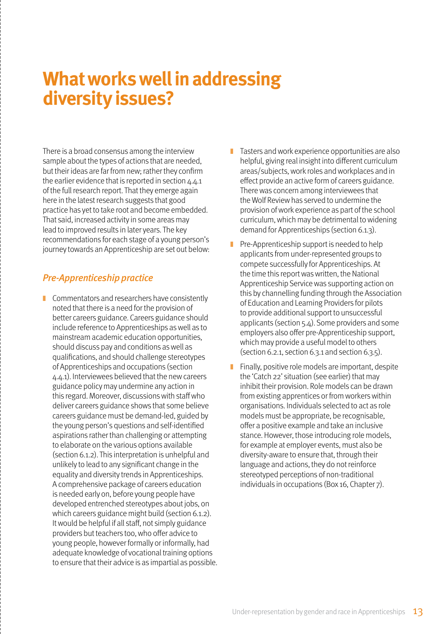## **What works well in addressing diversity issues?**

There is a broad consensus among the interview sample about the types of actions that are needed, but their ideas are far from new; rather they confirm the earlier evidence that is reported in section 4.4.1 of the full research report. That they emerge again here in the latest research suggests that good practice has yet to take root and become embedded. That said, increased activity in some areas may lead to improved results in later years. The key recommendations for each stage of a young person's journey towards an Apprenticeship are set out below:

### Pre-Apprenticeship practice

- Commentators and researchers have consistently noted that there is a need for the provision of better careers guidance. Careers guidance should include reference to Apprenticeships as well as to mainstream academic education opportunities, should discuss pay and conditions as well as qualifications, and should challenge stereotypes of Apprenticeships and occupations (section 4.4.1). Interviewees believed that the new careers guidance policy may undermine any action in this regard. Moreover, discussions with staff who deliver careers guidance shows that some believe careers guidance must be demand-led, guided by the young person's questions and self-identified aspirations rather than challenging or attempting to elaborate on the various options available (section 6.1.2). This interpretation is unhelpful and unlikely to lead to any significant change in the equality and diversity trends in Apprenticeships. A comprehensive package of careers education is needed early on, before young people have developed entrenched stereotypes about jobs, on which careers guidance might build (section 6.1.2). It would be helpful if all staff, not simply guidance providers but teachers too, who offer advice to young people, however formally or informally, had adequate knowledge of vocational training options to ensure that their advice is as impartial as possible.
- ❚ Tasters and work experience opportunities are also helpful, giving real insight into different curriculum areas/subjects, work roles and workplaces and in effect provide an active form of careers guidance. There was concern among interviewees that the Wolf Review has served to undermine the provision of work experience as part of the school curriculum, which may be detrimental to widening demand for Apprenticeships (section 6.1.3).
- $\blacksquare$  Pre-Apprenticeship support is needed to help applicants from under-represented groups to compete successfully for Apprenticeships. At the time this report was written, the National Apprenticeship Service was supporting action on this by channelling funding through the Association of Education and Learning Providers for pilots to provide additional support to unsuccessful applicants (section 5.4). Some providers and some employers also offer pre-Apprenticeship support, which may provide a useful model to others (section 6.2.1, section 6.3.1 and section 6.3.5).
- $\blacksquare$  Finally, positive role models are important, despite the 'Catch 22' situation (see earlier) that may inhibit their provision. Role models can be drawn from existing apprentices or from workers within organisations. Individuals selected to act as role models must be appropriate, be recognisable, offer a positive example and take an inclusive stance. However, those introducing role models, for example at employer events, must also be diversity-aware to ensure that, through their language and actions, they do not reinforce stereotyped perceptions of non-traditional individuals in occupations (Box 16, Chapter 7).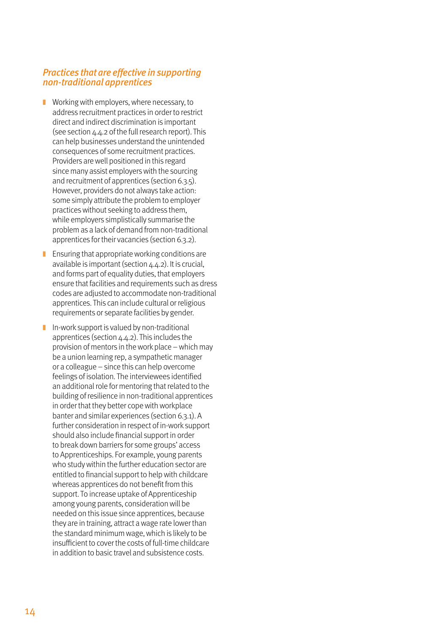#### Practices that are effective in supporting non-traditional apprentices

- Working with employers, where necessary, to address recruitment practices in order to restrict direct and indirect discrimination is important (see section 4.4.2 of the full research report). This can help businesses understand the unintended consequences of some recruitment practices. Providers are well positioned in this regard since many assist employers with the sourcing and recruitment of apprentices (section 6.3.5). However, providers do not always take action: some simply attribute the problem to employer practices without seeking to address them, while employers simplistically summarise the problem as a lack of demand from non-traditional apprentices for their vacancies (section 6.3.2).
- $\blacksquare$  Ensuring that appropriate working conditions are available is important (section 4.4.2). It is crucial, and forms part of equality duties, that employers ensure that facilities and requirements such as dress codes are adjusted to accommodate non-traditional apprentices. This can include cultural or religious requirements or separate facilities by gender.
- $\blacksquare$  In-work support is valued by non-traditional apprentices (section 4.4.2). This includes the provision of mentors in the work place – which may be a union learning rep, a sympathetic manager or a colleague – since this can help overcome feelings of isolation. The interviewees identified an additional role for mentoring that related to the building of resilience in non-traditional apprentices in order that they better cope with workplace banter and similar experiences (section 6.3.1). A further consideration in respect of in-work support should also include financial support in order to break down barriers for some groups' access to Apprenticeships. For example, young parents who study within the further education sector are entitled to financial support to help with childcare whereas apprentices do not benefit from this support. To increase uptake of Apprenticeship among young parents, consideration will be needed on this issue since apprentices, because they are in training, attract a wage rate lower than the standard minimum wage, which is likely to be insufficient to cover the costs of full-time childcare in addition to basic travel and subsistence costs.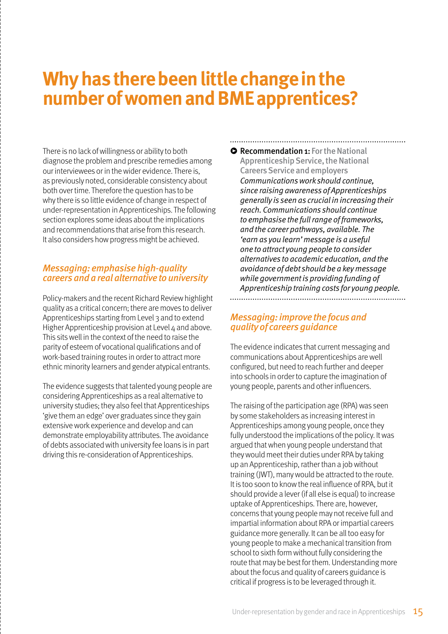## **Why has there been little change in the number of women and BME apprentices?**

There is no lack of willingness or ability to both diagnose the problem and prescribe remedies among our interviewees or in the wider evidence. There is, as previously noted, considerable consistency about both over time. Therefore the question has to be why there is so little evidence of change in respect of under-representation in Apprenticeships. The following section explores some ideas about the implications and recommendations that arise from this research. It also considers how progress might be achieved.

#### Messaging: emphasise high-quality careers and a real alternative to university

Policy-makers and the recent Richard Review highlight quality as a critical concern; there are moves to deliver Apprenticeships starting from Level 3 and to extend Higher Apprenticeship provision at Level  $\mu$  and above. This sits well in the context of the need to raise the parity of esteem of vocational qualifications and of work-based training routes in order to attract more ethnic minority learners and gender atypical entrants.

The evidence suggests that talented young people are considering Apprenticeships as a real alternative to university studies; they also feel that Apprenticeships 'give them an edge' over graduates since they gain extensive work experience and develop and can demonstrate employability attributes. The avoidance of debts associated with university fee loans is in part driving this re-consideration of Apprenticeships.

**• Recommendation 1:** For the National Apprenticeship Service, the National Careers Service and employers Communications work should continue, since raising awareness of Apprenticeships generally is seen as crucial in increasing their reach. Communications should continue to emphasise the full range of frameworks, and the career pathways, available. The 'earn as you learn' message is a useful one to attract young people to consider alternatives to academic education, and the avoidance of debt should be a key message while government is providing funding of Apprenticeship training costs for young people. 

#### Messaging: improve the focus and quality of careers guidance

The evidence indicates that current messaging and communications about Apprenticeships are well configured, but need to reach further and deeper into schools in order to capture the imagination of young people, parents and other influencers.

The raising of the participation age (RPA) was seen by some stakeholders as increasing interest in Apprenticeships among young people, once they fully understood the implications of the policy. It was argued that when young people understand that they would meet their duties under RPA by taking up an Apprenticeship, rather than a job without training (JWT), many would be attracted to the route. It is too soon to know the real influence of RPA, but it should provide a lever (if all else is equal) to increase uptake of Apprenticeships. There are, however, concerns that young people may not receive full and impartial information about RPA or impartial careers guidance more generally. It can be all too easy for young people to make a mechanical transition from school to sixth form without fully considering the route that may be best for them. Understanding more about the focus and quality of careers guidance is critical if progress is to be leveraged through it.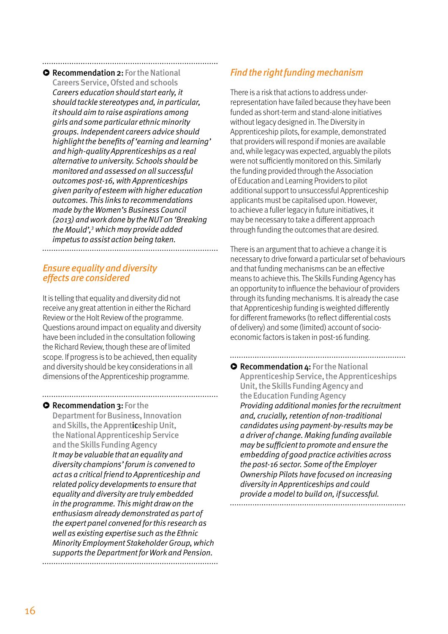**• Recommendation 2:** For the National Careers Service, Ofsted and schools Careers education should start early, it should tackle stereotypes and, in particular, it should aim to raise aspirations among girls and some particular ethnic minority groups. Independent careers advice should highlight the benefits of 'earning and learning' and high-quality Apprenticeships as a real alternative to university. Schools should be monitored and assessed on all successful outcomes post-16, with Apprenticeships given parity of esteem with higher education outcomes. This links to recommendations made by the Women's Business Council (2013) and work done by the NUT on 'Breaking the Mould',<sup>3</sup> which may provide added impetus to assist action being taken.

#### Ensure equality and diversity effects are considered

It is telling that equality and diversity did not receive any great attention in either the Richard Review or the Holt Review of the programme. Questions around impact on equality and diversity have been included in the consultation following the Richard Review, though these are of limited scope. If progress is to be achieved, then equality and diversity should be key considerations in all dimensions of the Apprenticeship programme.

### **• Recommendation 3: For the**

Department for Business, Innovation and Skills, the Apprenticeship Unit, the National Apprenticeship Service and the Skills Funding Agency It may be valuable that an equality and diversity champions' forum is convened to act as a critical friend to Apprenticeship and related policy developments to ensure that equality and diversity are truly embedded in the programme. This might draw on the enthusiasm already demonstrated as part of the expert panel convened for this research as well as existing expertise such as the Ethnic Minority Employment Stakeholder Group, which supports the Department for Work and Pension. 

### Find the right funding mechanism

There is a risk that actions to address underrepresentation have failed because they have been funded as short-term and stand-alone initiatives without legacy designed in. The Diversity in Apprenticeship pilots, for example, demonstrated that providers will respond if monies are available and, while legacy was expected, arguably the pilots were not sufficiently monitored on this. Similarly the funding provided through the Association of Education and Learning Providers to pilot additional support to unsuccessful Apprenticeship applicants must be capitalised upon. However, to achieve a fuller legacy in future initiatives, it may be necessary to take a different approach through funding the outcomes that are desired.

There is an argument that to achieve a change it is necessary to drive forward a particular set of behaviours and that funding mechanisms can be an effective means to achieve this. The Skills Funding Agency has an opportunity to influence the behaviour of providers through its funding mechanisms. It is already the case that Apprenticeship funding is weighted differently for different frameworks (to reflect differential costs of delivery) and some (limited) account of socioeconomic factors is taken in post-16 funding.

**• Recommendation 4: For the National** Apprenticeship Service, the Apprenticeships Unit, the Skills Funding Agency and the Education Funding Agency Providing additional monies for the recruitment and, crucially, retention of non-traditional candidates using payment-by-results may be a driver of change. Making funding available may be sufficient to promote and ensure the embedding of good practice activities across the post-16 sector. Some of the Employer Ownership Pilots have focused on increasing diversity in Apprenticeships and could provide a model to build on, if successful.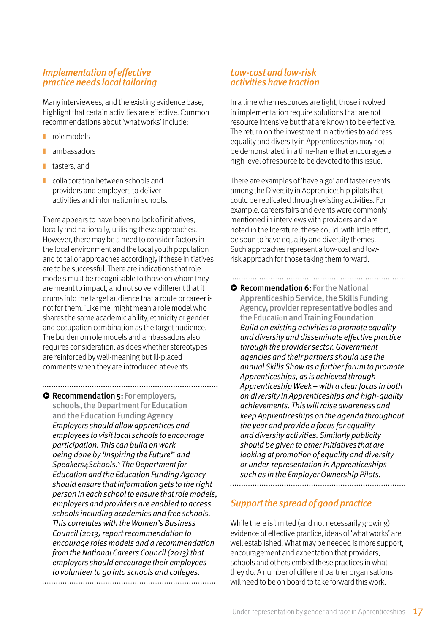#### Implementation of effective practice needs local tailoring

Many interviewees, and the existing evidence base, highlight that certain activities are effective. Common recommendations about 'what works' include:

- role models
- **n** ambassadors
- tasters, and
- collaboration between schools and providers and employers to deliver activities and information in schools.

There appears to have been no lack of initiatives, locally and nationally, utilising these approaches. However, there may be a need to consider factors in the local environment and the local youth population and to tailor approaches accordingly if these initiatives are to be successful. There are indications that role models must be recognisable to those on whom they are meant to impact, and not so very different that it drums into the target audience that a route or career is not for them. 'Like me' might mean a role model who shares the same academic ability, ethnicity or gender and occupation combination as the target audience. The burden on role models and ambassadors also requires consideration, as does whether stereotypes are reinforced by well-meaning but ill-placed comments when they are introduced at events.

**• Recommendation 5:** For employers, schools, the Department for Education and the Education Funding Agency Employers should allow apprentices and employees to visit local schools to encourage participation. This can build on work being done by 'Inspiring the Future<sup>4</sup> and Speakers4Schools.<sup>5</sup> The Department for Education and the Education Funding Agency should ensure that information gets to the right person in each school to ensure that role models, employers and providers are enabled to access schools including academies and free schools. This correlates with the Women's Business Council (2013) report recommendation to encourage roles models and a recommendation from the National Careers Council (2013) that employers should encourage their employees to volunteer to go into schools and colleges. 

#### Low-cost and low-risk activities have traction

In a time when resources are tight, those involved in implementation require solutions that are not resource intensive but that are known to be effective. The return on the investment in activities to address equality and diversity in Apprenticeships may not be demonstrated in a time-frame that encourages a high level of resource to be devoted to this issue.

There are examples of 'have a go' and taster events among the Diversity in Apprenticeship pilots that could be replicated through existing activities. For example, careers fairs and events were commonly mentioned in interviews with providers and are noted in the literature; these could, with little effort, be spun to have equality and diversity themes. Such approaches represent a low-cost and lowrisk approach for those taking them forward.

**• Recommendation 6: For the National** Apprenticeship Service, the Skills Funding Agency, provider representative bodies and the Education and Training Foundation Build on existing activities to promote equality and diversity and disseminate effective practice through the provider sector. Government agencies and their partners should use the annual Skills Show as a further forum to promote Apprenticeships, as is achieved through Apprenticeship Week – with a clear focus in both on diversity in Apprenticeships and high-quality achievements. This will raise awareness and keep Apprenticeships on the agenda throughout the year and provide a focus for equality and diversity activities. Similarly publicity should be given to other initiatives that are looking at promotion of equality and diversity or under-representation in Apprenticeships such as in the Employer Ownership Pilots. 

#### Support the spread of good practice

While there is limited (and not necessarily growing) evidence of effective practice, ideas of 'what works' are well established. What may be needed is more support, encouragement and expectation that providers, schools and others embed these practices in what they do. A number of different partner organisations will need to be on board to take forward this work.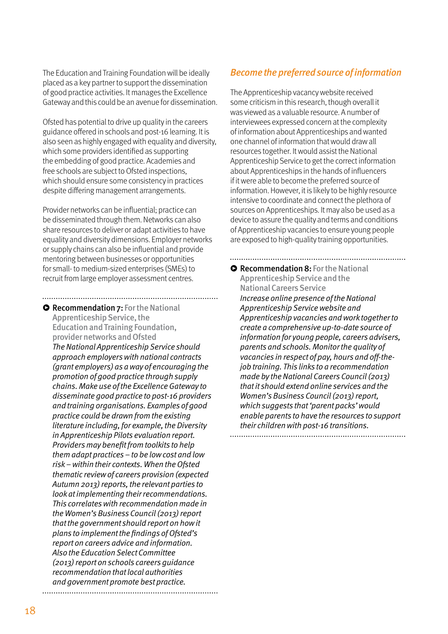The Education and Training Foundation will be ideally placed as a key partner to support the dissemination of good practice activities. It manages the Excellence Gateway and this could be an avenue for dissemination.

Ofsted has potential to drive up quality in the careers guidance offered in schools and post-16 learning. It is also seen as highly engaged with equality and diversity, which some providers identified as supporting the embedding of good practice. Academies and free schools are subject to Ofsted inspections, which should ensure some consistency in practices despite differing management arrangements.

Provider networks can be influential; practice can be disseminated through them. Networks can also share resources to deliver or adapt activities to have equality and diversity dimensions. Employer networks or supply chains can also be influential and provide mentoring between businesses or opportunities for small- to medium-sized enterprises (SMEs) to recruit from large employer assessment centres.

....................

**• Recommendation 7:** For the National Apprenticeship Service, the Education and Training Foundation, provider networks and Ofsted The National Apprenticeship Service should approach employers with national contracts (grant employers) as a way of encouraging the promotion of good practice through supply chains. Make use of the Excellence Gateway to disseminate good practice to post-16 providers and training organisations. Examples of good practice could be drawn from the existing literature including, for example, the Diversity in Apprenticeship Pilots evaluation report. Providers may benefit from toolkits to help them adapt practices – to be low cost and low risk – within their contexts. When the Ofsted thematic review of careers provision (expected Autumn 2013) reports, the relevant parties to look at implementing their recommendations. This correlates with recommendation made in the Women's Business Council (2013) report that the government should report on how it plans to implement the findings of Ofsted's report on careers advice and information. Also the Education Select Committee (2013) report on schools careers guidance recommendation that local authorities and government promote best practice.

#### Become the preferred source of information

The Apprenticeship vacancy website received some criticism in this research, though overall it was viewed as a valuable resource. A number of interviewees expressed concern at the complexity of information about Apprenticeships and wanted one channel of information that would draw all resources together. It would assist the National Apprenticeship Service to get the correct information about Apprenticeships in the hands of influencers if it were able to become the preferred source of information. However, it is likely to be highly resource intensive to coordinate and connect the plethora of sources on Apprenticeships. It may also be used as a device to assure the quality and terms and conditions of Apprenticeship vacancies to ensure young people are exposed to high-quality training opportunities.

**• Recommendation 8:** For the National Apprenticeship Service and the National Careers Service Increase online presence of the National Apprenticeship Service website and Apprenticeship vacancies and work together to create a comprehensive up-to-date source of information for young people, careers advisers, parents and schools. Monitor the quality of vacancies in respect of pay, hours and off-thejob training. This links to a recommendation made by the National Careers Council (2013) that it should extend online services and the Women's Business Council (2013) report, which suggests that 'parent packs' would enable parents to have the resources to support their children with post-16 transitions.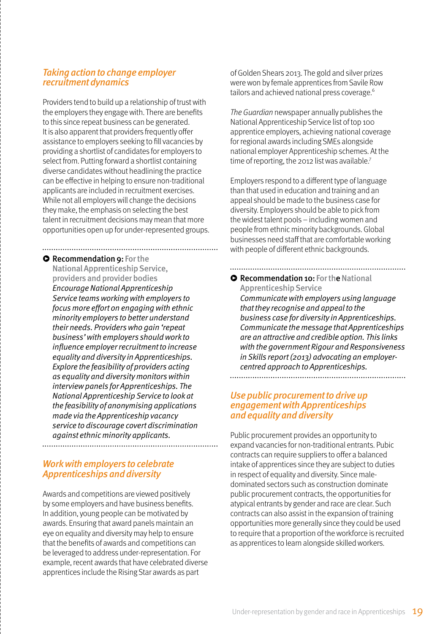#### Taking action to change employer recruitment dynamics

Providers tend to build up a relationship of trust with the employers they engage with. There are benefits to this since repeat business can be generated. It is also apparent that providers frequently offer assistance to employers seeking to fill vacancies by providing a shortlist of candidates for employers to select from. Putting forward a shortlist containing diverse candidates without headlining the practice can be effective in helping to ensure non-traditional applicants are included in recruitment exercises. While not all employers will change the decisions they make, the emphasis on selecting the best talent in recruitment decisions may mean that more opportunities open up for under-represented groups.

### **• Recommendation 9: For the**

National Apprenticeship Service, providers and provider bodies

Encourage National Apprenticeship Service teams working with employers to focus more effort on engaging with ethnic minority employers to better understand their needs. Providers who gain 'repeat business' with employers should work to influence employer recruitment to increase equality and diversity in Apprenticeships. Explore the feasibility of providers acting as equality and diversity monitors within interview panels for Apprenticeships. The National Apprenticeship Service to look at the feasibility of anonymising applications made via the Apprenticeship vacancy service to discourage covert discrimination against ethnic minority applicants. 

#### Work with employers to celebrate Apprenticeships and diversity

Awards and competitions are viewed positively by some employers and have business benefits. In addition, young people can be motivated by awards. Ensuring that award panels maintain an eye on equality and diversity may help to ensure that the benefits of awards and competitions can be leveraged to address under-representation. For example, recent awards that have celebrated diverse apprentices include the Rising Star awards as part

of Golden Shears 2013. The gold and silver prizes were won by female apprentices from Savile Row tailors and achieved national press coverage.<sup>6</sup>

The Guardian newspaper annually publishes the National Apprenticeship Service list of top 100 apprentice employers, achieving national coverage for regional awards including SMEs alongside national employer Apprenticeship schemes. At the time of reporting, the 2012 list was available.<sup>7</sup>

Employers respond to a different type of language than that used in education and training and an appeal should be made to the business case for diversity. Employers should be able to pick from the widest talent pools – including women and people from ethnic minority backgrounds. Global businesses need staff that are comfortable working with people of different ethnic backgrounds.

#### **• Recommendation 10: For the National**

Apprenticeship Service Communicate with employers using language that they recognise and appeal to the business case for diversity in Apprenticeships. Communicate the message that Apprenticeships are an attractive and credible option. This links with the government Rigour and Responsiveness in Skills report (2013) advocating an employercentred approach to Apprenticeships. 

#### Use public procurement to drive up engagement with Apprenticeships and equality and diversity

Public procurement provides an opportunity to expand vacancies for non-traditional entrants. Pubic contracts can require suppliers to offer a balanced intake of apprentices since they are subject to duties in respect of equality and diversity. Since maledominated sectors such as construction dominate public procurement contracts, the opportunities for atypical entrants by gender and race are clear. Such contracts can also assist in the expansion of training opportunities more generally since they could be used to require that a proportion of the workforce is recruited as apprentices to learn alongside skilled workers.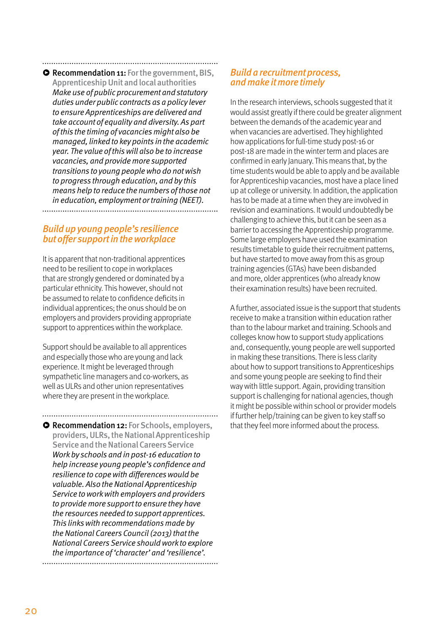### **• Recommendation 11:** For the government, BIS,

Apprenticeship Unit and local authorities Make use of public procurement and statutory duties under public contracts as a policy lever to ensure Apprenticeships are delivered and take account of equality and diversity. As part of this the timing of vacancies might also be managed, linked to key points in the academic year. The value of this will also be to increase vacancies, and provide more supported transitions to young people who do not wish to progress through education, and by this means help to reduce the numbers of those not in education, employment or training (NEET). 

#### Build up young people's resilience but offer support in the workplace

It is apparent that non-traditional apprentices need to be resilient to cope in workplaces that are strongly gendered or dominated by a particular ethnicity. This however, should not be assumed to relate to confidence deficits in individual apprentices; the onus should be on employers and providers providing appropriate support to apprentices within the workplace.

Support should be available to all apprentices and especially those who are young and lack experience. It might be leveraged through sympathetic line managers and co-workers, as well as ULRs and other union representatives where they are present in the workplace.

**• Recommendation 12:** For Schools, employers, providers, ULRs, the National Apprenticeship Service and the National Careers Service Work by schools and in post-16 education to help increase young people's confidence and resilience to cope with differences would be valuable. Also the National Apprenticeship Service to work with employers and providers to provide more support to ensure they have the resources needed to support apprentices. This links with recommendations made by the National Careers Council (2013) that the National Careers Service should work to explore the importance of 'character' and 'resilience'. 

#### Build a recruitment process, and make it more timely

In the research interviews, schools suggested that it would assist greatly if there could be greater alignment between the demands of the academic year and when vacancies are advertised. They highlighted how applications for full-time study post-16 or post-18 are made in the winter term and places are confirmed in early January. This means that, by the time students would be able to apply and be available for Apprenticeship vacancies, most have a place lined up at college or university. In addition, the application has to be made at a time when they are involved in revision and examinations. It would undoubtedly be challenging to achieve this, but it can be seen as a barrier to accessing the Apprenticeship programme. Some large employers have used the examination results timetable to guide their recruitment patterns, but have started to move away from this as group training agencies (GTAs) have been disbanded and more, older apprentices (who already know their examination results) have been recruited.

A further, associated issue is the support that students receive to make a transition within education rather than to the labour market and training. Schools and colleges know how to support study applications and, consequently, young people are well supported in making these transitions. There is less clarity about how to support transitions to Apprenticeships and some young people are seeking to find their way with little support. Again, providing transition support is challenging for national agencies, though it might be possible within school or provider models if further help/training can be given to key staff so that they feel more informed about the process.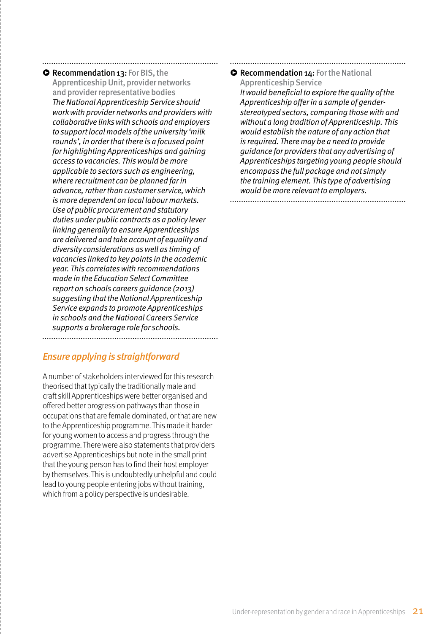**• Recommendation 13: For BIS, the** Apprenticeship Unit, provider networks and provider representative bodies The National Apprenticeship Service should work with provider networks and providers with collaborative links with schools and employers to support local models of the university 'milk rounds', in order that there is a focused point for highlighting Apprenticeships and gaining access to vacancies. This would be more applicable to sectors such as engineering, where recruitment can be planned far in advance, rather than customer service, which is more dependent on local labour markets. Use of public procurement and statutory duties under public contracts as a policy lever linking generally to ensure Apprenticeships are delivered and take account of equality and diversity considerations as well as timing of vacancies linked to key points in the academic year. This correlates with recommendations made in the Education Select Committee report on schools careers guidance (2013) suggesting that the National Apprenticeship Service expands to promote Apprenticeships in schools and the National Careers Service supports a brokerage role for schools. 

### Ensure applying is straightforward

A number of stakeholders interviewed for this research theorised that typically the traditionally male and craft skill Apprenticeships were better organised and offered better progression pathways than those in occupations that are female dominated, or that are new to the Apprenticeship programme. This made it harder for young women to access and progress through the programme. There were also statements that providers advertise Apprenticeships but note in the small print that the young person has to find their host employer by themselves. This is undoubtedly unhelpful and could lead to young people entering jobs without training, which from a policy perspective is undesirable.

#### **• Recommendation 14: For the National** Apprenticeship Service

It would beneficial to explore the quality of the Apprenticeship offer in a sample of genderstereotyped sectors, comparing those with and without a long tradition of Apprenticeship. This would establish the nature of any action that is required. There may be a need to provide guidance for providers that any advertising of Apprenticeships targeting young people should encompass the full package and not simply the training element. This type of advertising would be more relevant to employers.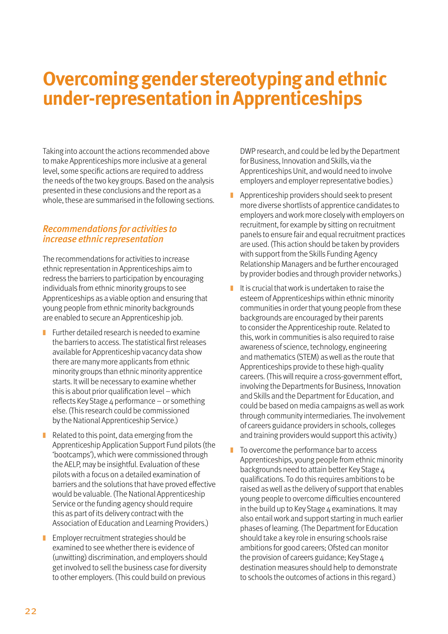## **Overcoming gender stereotyping and ethnic under-representation in Apprenticeships**

Taking into account the actions recommended above to make Apprenticeships more inclusive at a general level, some specific actions are required to address the needs of the two key groups. Based on the analysis presented in these conclusions and the report as a whole, these are summarised in the following sections.

#### Recommendations for activities to increase ethnic representation

The recommendations for activities to increase ethnic representation in Apprenticeships aim to redress the barriers to participation by encouraging individuals from ethnic minority groups to see Apprenticeships as a viable option and ensuring that young people from ethnic minority backgrounds are enabled to secure an Apprenticeship job.

- $\blacksquare$  Further detailed research is needed to examine the barriers to access. The statistical first releases available for Apprenticeship vacancy data show there are many more applicants from ethnic minority groups than ethnic minority apprentice starts. It will be necessary to examine whether this is about prior qualification level – which reflects Key Stage 4 performance – or something else. (This research could be commissioned by the National Apprenticeship Service.)
- Related to this point, data emerging from the Apprenticeship Application Support Fund pilots (the 'bootcamps'), which were commissioned through the AELP, may be insightful. Evaluation of these pilots with a focus on a detailed examination of barriers and the solutions that have proved effective would be valuable. (The National Apprenticeship Service or the funding agency should require this as part of its delivery contract with the Association of Education and Learning Providers.)
- Employer recruitment strategies should be examined to see whether there is evidence of (unwitting) discrimination, and employers should get involved to sell the business case for diversity to other employers. (This could build on previous

DWP research, and could be led by the Department for Business, Innovation and Skills, via the Apprenticeships Unit, and would need to involve employers and employer representative bodies.)

- Apprenticeship providers should seek to present more diverse shortlists of apprentice candidates to employers and work more closely with employers on recruitment, for example by sitting on recruitment panels to ensure fair and equal recruitment practices are used. (This action should be taken by providers with support from the Skills Funding Agency Relationship Managers and be further encouraged by provider bodies and through provider networks.)
- $\blacksquare$  It is crucial that work is undertaken to raise the esteem of Apprenticeships within ethnic minority communities in order that young people from these backgrounds are encouraged by their parents to consider the Apprenticeship route. Related to this, work in communities is also required to raise awareness of science, technology, engineering and mathematics (STEM) as well as the route that Apprenticeships provide to these high-quality careers. (This will require a cross-government effort, involving the Departments for Business, Innovation and Skills and the Department for Education, and could be based on media campaigns as well as work through community intermediaries. The involvement of careers guidance providers in schools, colleges and training providers would support this activity.)
- $\blacksquare$  To overcome the performance bar to access Apprenticeships, young people from ethnic minority backgrounds need to attain better Key Stage 4 qualifications. To do this requires ambitions to be raised as well as the delivery of support that enables young people to overcome difficulties encountered in the build up to Key Stage  $4$  examinations. It may also entail work and support starting in much earlier phases of learning. (The Department for Education should take a key role in ensuring schools raise ambitions for good careers; Ofsted can monitor the provision of careers guidance: Key Stage  $\Delta$ destination measures should help to demonstrate to schools the outcomes of actions in this regard.)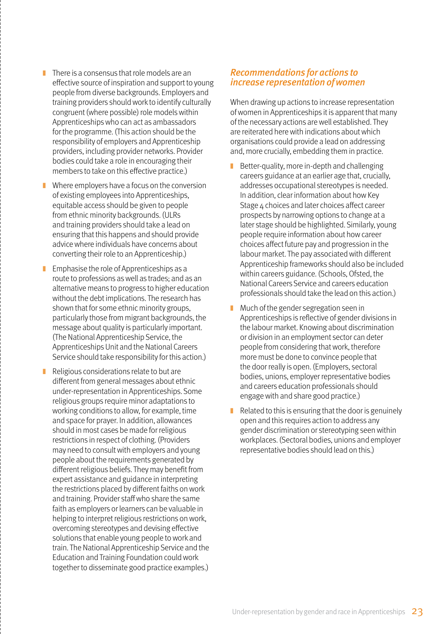- $\blacksquare$  There is a consensus that role models are an effective source of inspiration and support to young people from diverse backgrounds. Employers and training providers should work to identify culturally congruent (where possible) role models within Apprenticeships who can act as ambassadors for the programme. (This action should be the responsibility of employers and Apprenticeship providers, including provider networks. Provider bodies could take a role in encouraging their members to take on this effective practice.)
- Where employers have a focus on the conversion of existing employees into Apprenticeships, equitable access should be given to people from ethnic minority backgrounds. (ULRs and training providers should take a lead on ensuring that this happens and should provide advice where individuals have concerns about converting their role to an Apprenticeship.)
- $\blacksquare$  Emphasise the role of Apprenticeships as a route to professions as well as trades; and as an alternative means to progress to higher education without the debt implications. The research has shown that for some ethnic minority groups, particularly those from migrant backgrounds, the message about quality is particularly important. (The National Apprenticeship Service, the Apprenticeships Unit and the National Careers Service should take responsibility for this action.)
- Religious considerations relate to but are different from general messages about ethnic under-representation in Apprenticeships. Some religious groups require minor adaptations to working conditions to allow, for example, time and space for prayer. In addition, allowances should in most cases be made for religious restrictions in respect of clothing. (Providers may need to consult with employers and young people about the requirements generated by different religious beliefs. They may benefit from expert assistance and guidance in interpreting the restrictions placed by different faiths on work and training. Provider staff who share the same faith as employers or learners can be valuable in helping to interpret religious restrictions on work, overcoming stereotypes and devising effective solutions that enable young people to work and train. The National Apprenticeship Service and the Education and Training Foundation could work together to disseminate good practice examples.)

#### Recommendations for actions to increase representation of women

When drawing up actions to increase representation of women in Apprenticeships it is apparent that many of the necessary actions are well established. They are reiterated here with indications about which organisations could provide a lead on addressing and, more crucially, embedding them in practice.

- Better-quality, more in-depth and challenging careers guidance at an earlier age that, crucially, addresses occupational stereotypes is needed. In addition, clear information about how Key Stage 4 choices and later choices affect career prospects by narrowing options to change at a later stage should be highlighted. Similarly, young people require information about how career choices affect future pay and progression in the labour market. The pay associated with different Apprenticeship frameworks should also be included within careers guidance. (Schools, Ofsted, the National Careers Service and careers education professionals should take the lead on this action.)
- Much of the gender segregation seen in Apprenticeships is reflective of gender divisions in the labour market. Knowing about discrimination or division in an employment sector can deter people from considering that work, therefore more must be done to convince people that the door really is open. (Employers, sectoral bodies, unions, employer representative bodies and careers education professionals should engage with and share good practice.)
- $\blacksquare$  Related to this is ensuring that the door is genuinely open and this requires action to address any gender discrimination or stereotyping seen within workplaces. (Sectoral bodies, unions and employer representative bodies should lead on this.)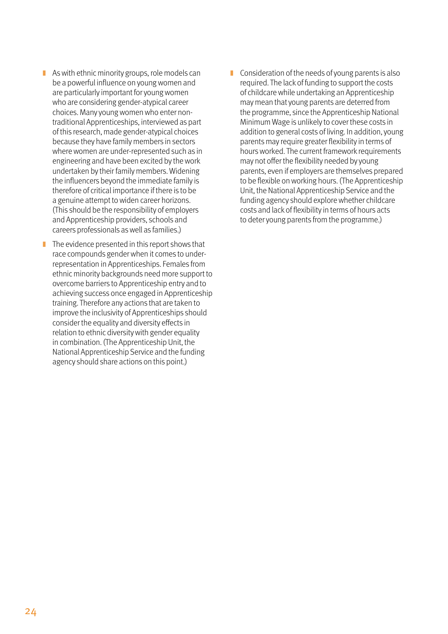- $\blacksquare$  As with ethnic minority groups, role models can be a powerful influence on young women and are particularly important for young women who are considering gender-atypical career choices. Many young women who enter nontraditional Apprenticeships, interviewed as part of this research, made gender-atypical choices because they have family members in sectors where women are under-represented such as in engineering and have been excited by the work undertaken by their family members. Widening the influencers beyond the immediate family is therefore of critical importance if there is to be a genuine attempt to widen career horizons. (This should be the responsibility of employers and Apprenticeship providers, schools and careers professionals as well as families.)
- $\blacksquare$  The evidence presented in this report shows that race compounds gender when it comes to underrepresentation in Apprenticeships. Females from ethnic minority backgrounds need more support to overcome barriers to Apprenticeship entry and to achieving success once engaged in Apprenticeship training. Therefore any actions that are taken to improve the inclusivity of Apprenticeships should consider the equality and diversity effects in relation to ethnic diversity with gender equality in combination. (The Apprenticeship Unit, the National Apprenticeship Service and the funding agency should share actions on this point.)
- Consideration of the needs of young parents is also required. The lack of funding to support the costs of childcare while undertaking an Apprenticeship may mean that young parents are deterred from the programme, since the Apprenticeship National Minimum Wage is unlikely to cover these costs in addition to general costs of living. In addition, young parents may require greater flexibility in terms of hours worked. The current framework requirements may not offer the flexibility needed by young parents, even if employers are themselves prepared to be flexible on working hours. (The Apprenticeship Unit, the National Apprenticeship Service and the funding agency should explore whether childcare costs and lack of flexibility in terms of hours acts to deter young parents from the programme.)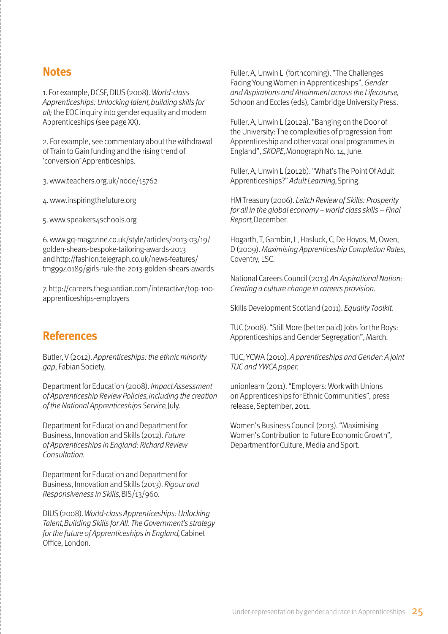### **Notes**

1. For example, DCSF, DIUS (2008). World-class Apprenticeships: Unlocking talent, building skills for all; the EOC inquiry into gender equality and modern Apprenticeships (see page XX).

2. For example, see commentary about the withdrawal of Train to Gain funding and the rising trend of 'conversion' Apprenticeships.

3. www.teachers.org.uk/node/15762

4. www.inspiringthefuture.org

5. www.speakers4schools.org

6. www.gq-magazine.co.uk/style/articles/2013-03/19/ golden-shears-bespoke-tailoring-awards-2013 and http://fashion.telegraph.co.uk/news-features/ tmg9940189/girls-rule-the-2013-golden-shears-awards

7. http://careers.theguardian.com/interactive/top-100 apprenticeships-employers

### **References**

Butler, V (2012). Apprenticeships: the ethnic minority gap, Fabian Society.

Department for Education (2008). Impact Assessment of Apprenticeship Review Policies, including the creation of the National Apprenticeships Service, July.

Department for Education and Department for Business, Innovation and Skills (2012). Future of Apprenticeships in England: Richard Review Consultation.

Department for Education and Department for Business, Innovation and Skills (2013). Rigour and Responsiveness in Skills, BIS/13/960.

DIUS (2008). World-class Apprenticeships: Unlocking Talent, Building Skills for All. The Government's strategy for the future of Apprenticeships in England, Cabinet Office, London.

Fuller, A, Unwin L (forthcoming). "The Challenges Facing Young Women in Apprenticeships", Gender and Aspirations and Attainment across the Lifecourse, Schoon and Eccles (eds), Cambridge University Press.

Fuller, A, Unwin L (2012a). "Banging on the Door of the University: The complexities of progression from Apprenticeship and other vocational programmes in England", SKOPE, Monograph No. 14, June.

Fuller, A, Unwin L (2012b). "What's The Point Of Adult Apprenticeships?" Adult Learning, Spring.

HM Treasury (2006). Leitch Review of Skills: Prosperity for all in the global economy – world class skills – Final Report, December.

Hogarth, T, Gambin, L, Hasluck, C, De Hoyos, M, Owen, D (2009). Maximising Apprenticeship Completion Rates, Coventry, LSC.

National Careers Council (2013) An Aspirational Nation: Creating a culture change in careers provision.

Skills Development Scotland (2011). Equality Toolkit.

TUC (2008). "Still More (better paid) Jobs for the Boys: Apprenticeships and Gender Segregation", March.

TUC, YCWA (2010). A pprenticeships and Gender: A joint TUC and YWCA paper.

unionlearn (2011). "Employers: Work with Unions on Apprenticeships for Ethnic Communities", press release, September, 2011.

Women's Business Council (2013). "Maximising Women's Contribution to Future Economic Growth", Department for Culture, Media and Sport.